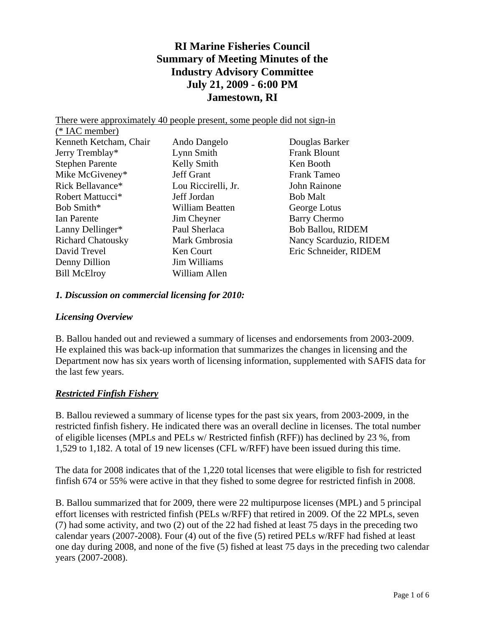# **RI Marine Fisheries Council Summary of Meeting Minutes of the Industry Advisory Committee July 21, 2009 - 6:00 PM Jamestown, RI**

There were approximately 40 people present, some people did not sign-in

| $(*$ IAC member)             |                        |                          |
|------------------------------|------------------------|--------------------------|
| Kenneth Ketcham, Chair       | Ando Dangelo           | Douglas Barker           |
| Jerry Tremblay*              | Lynn Smith             | <b>Frank Blount</b>      |
| <b>Stephen Parente</b>       | Kelly Smith            | Ken Booth                |
| Mike McGiveney*              | <b>Jeff Grant</b>      | <b>Frank Tameo</b>       |
| Rick Bellavance*             | Lou Riccirelli, Jr.    | John Rainone             |
| Robert Mattucci <sup>*</sup> | Jeff Jordan            | <b>Bob Malt</b>          |
| Bob Smith*                   | <b>William Beatten</b> | George Lotus             |
| Ian Parente                  | Jim Cheyner            | <b>Barry Chermo</b>      |
| Lanny Dellinger*             | Paul Sherlaca          | <b>Bob Ballou, RIDEM</b> |
| <b>Richard Chatousky</b>     | Mark Gmbrosia          | Nancy Scarduzio, RIDE    |
| David Trevel                 | Ken Court              | Eric Schneider, RIDEM    |
| Denny Dillion                | Jim Williams           |                          |
| <b>Bill McElroy</b>          | William Allen          |                          |

zio, RIDEM

#### *1. Discussion on commercial licensing for 2010:*

#### *Licensing Overview*

B. Ballou handed out and reviewed a summary of licenses and endorsements from 2003-2009. He explained this was back-up information that summarizes the changes in licensing and the Department now has six years worth of licensing information, supplemented with SAFIS data for the last few years.

#### *Restricted Finfish Fishery*

B. Ballou reviewed a summary of license types for the past six years, from 2003-2009, in the restricted finfish fishery. He indicated there was an overall decline in licenses. The total number of eligible licenses (MPLs and PELs w/ Restricted finfish (RFF)) has declined by 23 %, from 1,529 to 1,182. A total of 19 new licenses (CFL w/RFF) have been issued during this time.

The data for 2008 indicates that of the 1,220 total licenses that were eligible to fish for restricted finfish 674 or 55% were active in that they fished to some degree for restricted finfish in 2008.

B. Ballou summarized that for 2009, there were 22 multipurpose licenses (MPL) and 5 principal effort licenses with restricted finfish (PELs w/RFF) that retired in 2009. Of the 22 MPLs, seven (7) had some activity, and two (2) out of the 22 had fished at least 75 days in the preceding two calendar years (2007-2008). Four (4) out of the five (5) retired PELs w/RFF had fished at least one day during 2008, and none of the five (5) fished at least 75 days in the preceding two calendar years (2007-2008).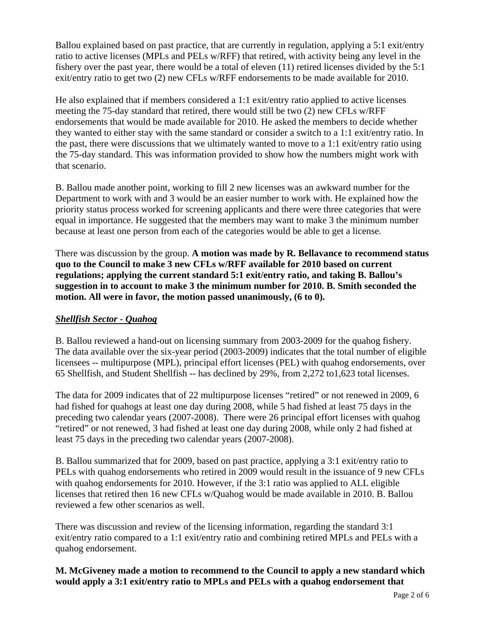Ballou explained based on past practice, that are currently in regulation, applying a 5:1 exit/entry ratio to active licenses (MPLs and PELs w/RFF) that retired, with activity being any level in the fishery over the past year, there would be a total of eleven (11) retired licenses divided by the 5:1 exit/entry ratio to get two (2) new CFLs w/RFF endorsements to be made available for 2010.

He also explained that if members considered a 1:1 exit/entry ratio applied to active licenses meeting the 75-day standard that retired, there would still be two (2) new CFLs w/RFF endorsements that would be made available for 2010. He asked the members to decide whether they wanted to either stay with the same standard or consider a switch to a 1:1 exit/entry ratio. In the past, there were discussions that we ultimately wanted to move to a 1:1 exit/entry ratio using the 75-day standard. This was information provided to show how the numbers might work with that scenario.

B. Ballou made another point, working to fill 2 new licenses was an awkward number for the Department to work with and 3 would be an easier number to work with. He explained how the priority status process worked for screening applicants and there were three categories that were equal in importance. He suggested that the members may want to make 3 the minimum number because at least one person from each of the categories would be able to get a license.

There was discussion by the group. **A motion was made by R. Bellavance to recommend status quo to the Council to make 3 new CFLs w/RFF available for 2010 based on current regulations; applying the current standard 5:1 exit/entry ratio, and taking B. Ballou's suggestion in to account to make 3 the minimum number for 2010. B. Smith seconded the motion. All were in favor, the motion passed unanimously, (6 to 0).** 

## *Shellfish Sector - Quahog*

B. Ballou reviewed a hand-out on licensing summary from 2003-2009 for the quahog fishery. The data available over the six-year period (2003-2009) indicates that the total number of eligible licensees -- multipurpose (MPL), principal effort licenses (PEL) with quahog endorsements, over 65 Shellfish, and Student Shellfish -- has declined by 29%, from 2,272 to1,623 total licenses.

The data for 2009 indicates that of 22 multipurpose licenses "retired" or not renewed in 2009, 6 had fished for quahogs at least one day during 2008, while 5 had fished at least 75 days in the preceding two calendar years (2007-2008). There were 26 principal effort licenses with quahog "retired" or not renewed, 3 had fished at least one day during 2008, while only 2 had fished at least 75 days in the preceding two calendar years (2007-2008).

B. Ballou summarized that for 2009, based on past practice, applying a 3:1 exit/entry ratio to PELs with quahog endorsements who retired in 2009 would result in the issuance of 9 new CFLs with quahog endorsements for 2010. However, if the 3:1 ratio was applied to ALL eligible licenses that retired then 16 new CFLs w/Quahog would be made available in 2010. B. Ballou reviewed a few other scenarios as well.

There was discussion and review of the licensing information, regarding the standard 3:1 exit/entry ratio compared to a 1:1 exit/entry ratio and combining retired MPLs and PELs with a quahog endorsement.

## **M. McGiveney made a motion to recommend to the Council to apply a new standard which would apply a 3:1 exit/entry ratio to MPLs and PELs with a quahog endorsement that**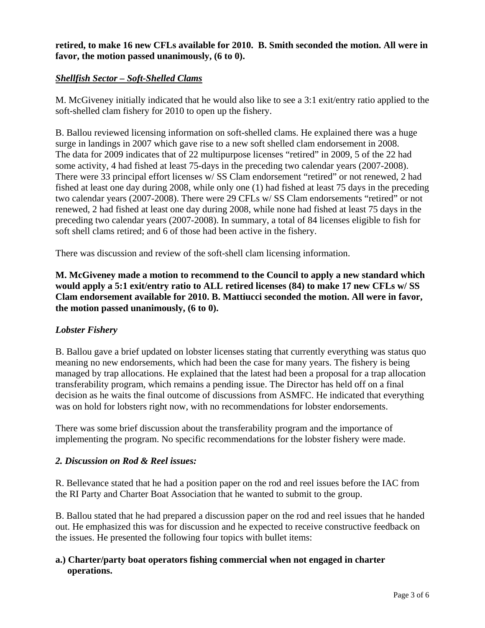#### **retired, to make 16 new CFLs available for 2010. B. Smith seconded the motion. All were in favor, the motion passed unanimously, (6 to 0).**

## *Shellfish Sector – Soft-Shelled Clams*

M. McGiveney initially indicated that he would also like to see a 3:1 exit/entry ratio applied to the soft-shelled clam fishery for 2010 to open up the fishery.

B. Ballou reviewed licensing information on soft-shelled clams. He explained there was a huge surge in landings in 2007 which gave rise to a new soft shelled clam endorsement in 2008. The data for 2009 indicates that of 22 multipurpose licenses "retired" in 2009, 5 of the 22 had some activity, 4 had fished at least 75-days in the preceding two calendar years (2007-2008). There were 33 principal effort licenses w/ SS Clam endorsement "retired" or not renewed, 2 had fished at least one day during 2008, while only one (1) had fished at least 75 days in the preceding two calendar years (2007-2008). There were 29 CFLs w/ SS Clam endorsements "retired" or not renewed, 2 had fished at least one day during 2008, while none had fished at least 75 days in the preceding two calendar years (2007-2008). In summary, a total of 84 licenses eligible to fish for soft shell clams retired; and 6 of those had been active in the fishery.

There was discussion and review of the soft-shell clam licensing information.

**M. McGiveney made a motion to recommend to the Council to apply a new standard which would apply a 5:1 exit/entry ratio to ALL retired licenses (84) to make 17 new CFLs w/ SS Clam endorsement available for 2010. B. Mattiucci seconded the motion. All were in favor, the motion passed unanimously, (6 to 0).** 

## *Lobster Fishery*

B. Ballou gave a brief updated on lobster licenses stating that currently everything was status quo meaning no new endorsements, which had been the case for many years. The fishery is being managed by trap allocations. He explained that the latest had been a proposal for a trap allocation transferability program, which remains a pending issue. The Director has held off on a final decision as he waits the final outcome of discussions from ASMFC. He indicated that everything was on hold for lobsters right now, with no recommendations for lobster endorsements.

There was some brief discussion about the transferability program and the importance of implementing the program. No specific recommendations for the lobster fishery were made.

## *2. Discussion on Rod & Reel issues:*

R. Bellevance stated that he had a position paper on the rod and reel issues before the IAC from the RI Party and Charter Boat Association that he wanted to submit to the group.

B. Ballou stated that he had prepared a discussion paper on the rod and reel issues that he handed out. He emphasized this was for discussion and he expected to receive constructive feedback on the issues. He presented the following four topics with bullet items:

## **a.) Charter/party boat operators fishing commercial when not engaged in charter operations.**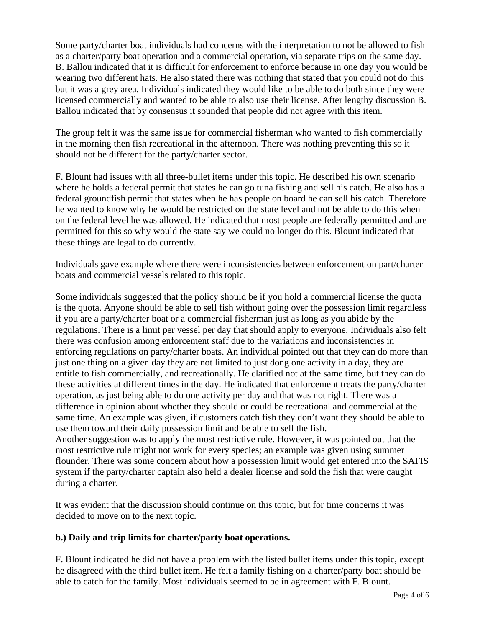Some party/charter boat individuals had concerns with the interpretation to not be allowed to fish as a charter/party boat operation and a commercial operation, via separate trips on the same day. B. Ballou indicated that it is difficult for enforcement to enforce because in one day you would be wearing two different hats. He also stated there was nothing that stated that you could not do this but it was a grey area. Individuals indicated they would like to be able to do both since they were licensed commercially and wanted to be able to also use their license. After lengthy discussion B. Ballou indicated that by consensus it sounded that people did not agree with this item.

The group felt it was the same issue for commercial fisherman who wanted to fish commercially in the morning then fish recreational in the afternoon. There was nothing preventing this so it should not be different for the party/charter sector.

F. Blount had issues with all three-bullet items under this topic. He described his own scenario where he holds a federal permit that states he can go tuna fishing and sell his catch. He also has a federal groundfish permit that states when he has people on board he can sell his catch. Therefore he wanted to know why he would be restricted on the state level and not be able to do this when on the federal level he was allowed. He indicated that most people are federally permitted and are permitted for this so why would the state say we could no longer do this. Blount indicated that these things are legal to do currently.

Individuals gave example where there were inconsistencies between enforcement on part/charter boats and commercial vessels related to this topic.

Some individuals suggested that the policy should be if you hold a commercial license the quota is the quota. Anyone should be able to sell fish without going over the possession limit regardless if you are a party/charter boat or a commercial fisherman just as long as you abide by the regulations. There is a limit per vessel per day that should apply to everyone. Individuals also felt there was confusion among enforcement staff due to the variations and inconsistencies in enforcing regulations on party/charter boats. An individual pointed out that they can do more than just one thing on a given day they are not limited to just dong one activity in a day, they are entitle to fish commercially, and recreationally. He clarified not at the same time, but they can do these activities at different times in the day. He indicated that enforcement treats the party/charter operation, as just being able to do one activity per day and that was not right. There was a difference in opinion about whether they should or could be recreational and commercial at the same time. An example was given, if customers catch fish they don't want they should be able to use them toward their daily possession limit and be able to sell the fish. Another suggestion was to apply the most restrictive rule. However, it was pointed out that the most restrictive rule might not work for every species; an example was given using summer flounder. There was some concern about how a possession limit would get entered into the SAFIS

system if the party/charter captain also held a dealer license and sold the fish that were caught during a charter.

It was evident that the discussion should continue on this topic, but for time concerns it was decided to move on to the next topic.

## **b.) Daily and trip limits for charter/party boat operations.**

F. Blount indicated he did not have a problem with the listed bullet items under this topic, except he disagreed with the third bullet item. He felt a family fishing on a charter/party boat should be able to catch for the family. Most individuals seemed to be in agreement with F. Blount.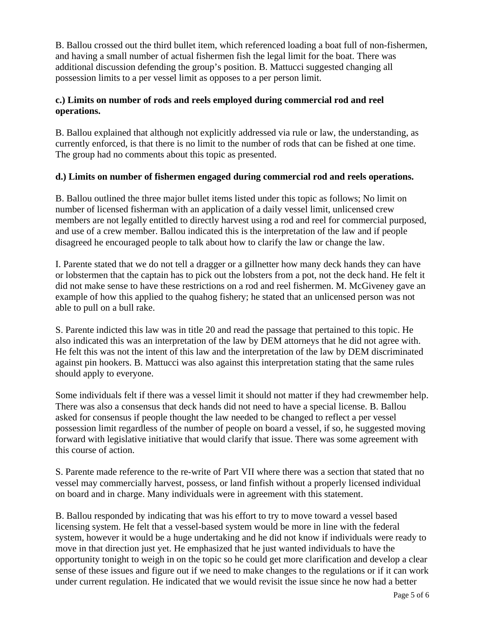B. Ballou crossed out the third bullet item, which referenced loading a boat full of non-fishermen, and having a small number of actual fishermen fish the legal limit for the boat. There was additional discussion defending the group's position. B. Mattucci suggested changing all possession limits to a per vessel limit as opposes to a per person limit.

## **c.) Limits on number of rods and reels employed during commercial rod and reel operations.**

B. Ballou explained that although not explicitly addressed via rule or law, the understanding, as currently enforced, is that there is no limit to the number of rods that can be fished at one time. The group had no comments about this topic as presented.

# **d.) Limits on number of fishermen engaged during commercial rod and reels operations.**

B. Ballou outlined the three major bullet items listed under this topic as follows; No limit on number of licensed fisherman with an application of a daily vessel limit, unlicensed crew members are not legally entitled to directly harvest using a rod and reel for commercial purposed, and use of a crew member. Ballou indicated this is the interpretation of the law and if people disagreed he encouraged people to talk about how to clarify the law or change the law.

I. Parente stated that we do not tell a dragger or a gillnetter how many deck hands they can have or lobstermen that the captain has to pick out the lobsters from a pot, not the deck hand. He felt it did not make sense to have these restrictions on a rod and reel fishermen. M. McGiveney gave an example of how this applied to the quahog fishery; he stated that an unlicensed person was not able to pull on a bull rake.

S. Parente indicted this law was in title 20 and read the passage that pertained to this topic. He also indicated this was an interpretation of the law by DEM attorneys that he did not agree with. He felt this was not the intent of this law and the interpretation of the law by DEM discriminated against pin hookers. B. Mattucci was also against this interpretation stating that the same rules should apply to everyone.

Some individuals felt if there was a vessel limit it should not matter if they had crewmember help. There was also a consensus that deck hands did not need to have a special license. B. Ballou asked for consensus if people thought the law needed to be changed to reflect a per vessel possession limit regardless of the number of people on board a vessel, if so, he suggested moving forward with legislative initiative that would clarify that issue. There was some agreement with this course of action.

S. Parente made reference to the re-write of Part VII where there was a section that stated that no vessel may commercially harvest, possess, or land finfish without a properly licensed individual on board and in charge. Many individuals were in agreement with this statement.

B. Ballou responded by indicating that was his effort to try to move toward a vessel based licensing system. He felt that a vessel-based system would be more in line with the federal system, however it would be a huge undertaking and he did not know if individuals were ready to move in that direction just yet. He emphasized that he just wanted individuals to have the opportunity tonight to weigh in on the topic so he could get more clarification and develop a clear sense of these issues and figure out if we need to make changes to the regulations or if it can work under current regulation. He indicated that we would revisit the issue since he now had a better